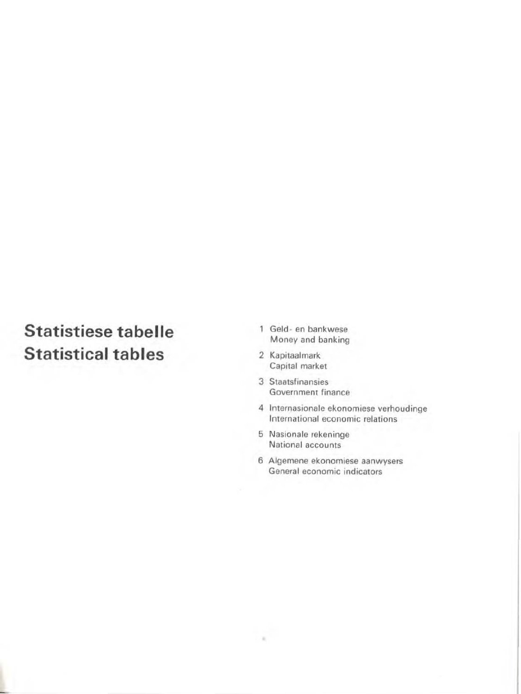# Statistiese tabelle Statistical tables

- 1 Geld- en bankwese Money and banking
- 2 Kapitaalmark Capital market
- 3 Staatsfinansies Government finance
- 4 Internasionale ekonomiese verhoudinge International economic relations
- 5 Nasionale rekeninge National accounts

×

6 Aigemene ekonomiese aanwvsers General economic indicators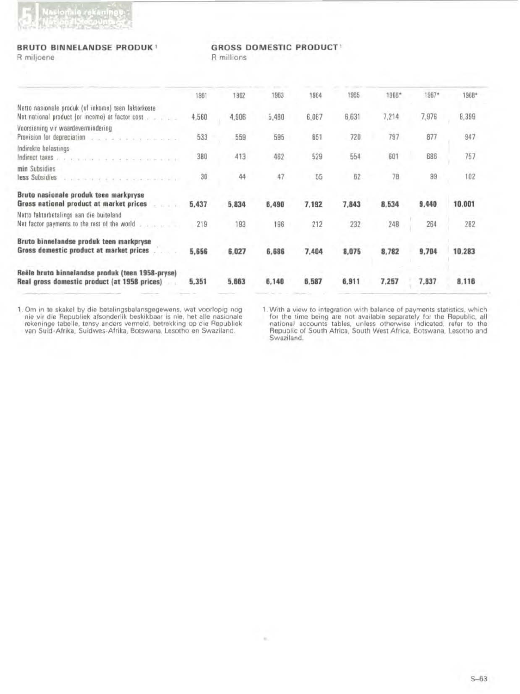

### **BRUTO BINNELANDSE PRODUK!** R miljoene

**GROSS DOMESTIC PRODUCT!** 

R millions

| 1961  | 1962  | 1963  | 1964  | 1965  | 1966* | 1967* | 1968*  |  |
|-------|-------|-------|-------|-------|-------|-------|--------|--|
| 4,560 | 4,906 | 5,480 | 6.067 | 6,631 | 7.214 | 7,976 | 8,399  |  |
| 533   | 559   | 595   | 651   | 720   | 797   | 877   | 947    |  |
| 380   | 413   | 462   | 529   | 554   | 601   | 686   | 757    |  |
| 36    | 44    | 47    | 55    | 62    | 78    | 99    | 102    |  |
| 5,437 | 5,834 | 6,490 | 7,192 | 7,843 | 8,534 | 9,440 | 10,001 |  |
| 219   | 193   | 196   | 212   | 232   | 248   | 264   | 282    |  |
| 5,656 | 6,027 | 6,686 | 7.404 | 8,075 | 8,782 | 9,704 | 10,283 |  |
| 5,351 | 5,663 | 6,140 | 6,587 | 6,911 | 7,257 | 7,837 | 8,116  |  |
|       |       |       |       |       |       |       |        |  |

1. Om in te skakel by die betalingsbalansgegewens, wat voorlopig nog nie vir die Republiek afsonderlik beskikbaar is nie, het alle nasionale rekeninge tabelle, tensy anders vermeld, betrekking op die Republiek van Suid-Afr

1. With a view to integration with balance of payments statistics, which for the time being are not available separately for the Republic, all national accounts tables, unless otherwise indicated, refer to the Republic of Swaziland.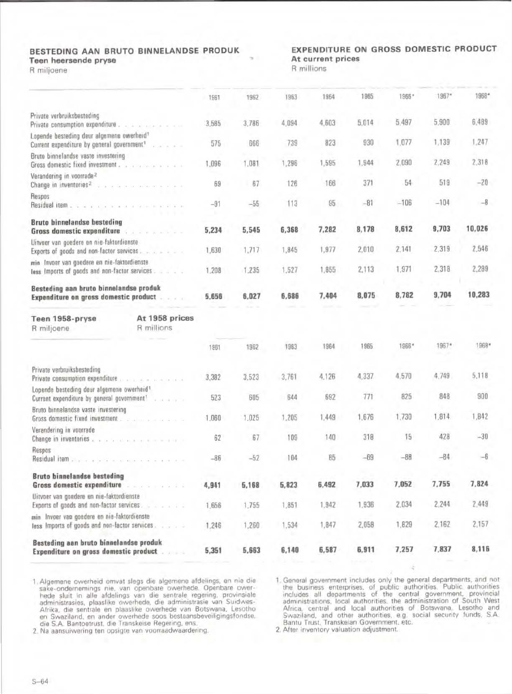### BESTEDING AAN BRUTO BINNELANDSE PRODUK Teen heersende pryse

R miljoene

## EXPENDITURE ON GROSS DOMESTIC PRODUCT At current prices

R millions

|                                                                                                                                    | 1961  | 1962  | 1963  | 1964  | 1965  | 1966*  | 1967*   | 1968*  |
|------------------------------------------------------------------------------------------------------------------------------------|-------|-------|-------|-------|-------|--------|---------|--------|
| Private verbruiksbesteding<br>Private consumption expenditure                                                                      | 3,585 | 3,786 | 4,094 | 4,603 | 5,014 | 5,497  | 5,900   | 6,489  |
| Lopende besteding deur algemene owerheid <sup>1</sup><br>Current expenditure by general government <sup>1</sup><br>Gradient all on | 575   | 666   | 739   | 823   | 930   | 1,077  | 1,139   | 1,247  |
| Bruto binnelandse vaste investering<br>Gross domestic fixed investment                                                             | 1,096 | 1,081 | 1,296 | 1,595 | 1,944 | 2,090  | 2,249   | 2,318  |
| Verandering in voorrade <sup>2</sup><br>Change in inventories <sup>2</sup>                                                         | 69    | 67    | 126   | 166   | 371   | 54     | 519     | $-20$  |
| Respos<br>Residual item                                                                                                            | $-91$ | $-55$ | 113   | 95    | $-81$ | $-106$ | $-104$  | $-8$   |
| Bruto binnelandse besteding<br>Gross domestic expenditure and a series of the settlement of                                        | 5,234 | 5,545 | 6,368 | 7,282 | 8,178 | 8,612  | 9,703   | 10,026 |
| Uitvoer van goedere en nie-faktordienste<br>Exports of goods and non-factor services.                                              | 1,630 | 1,717 | 1,845 | 1,977 | 2,010 | 2,141  | 2,319   | 2,546  |
| min Invoer van goedere en nie-faktordienste<br>less Imports of goods and non-factor services.                                      | 1,208 | 1,235 | 1.527 | 1,855 | 2,113 | 1,971  | 2,318   | 2,289  |
| Besteding aan bruto binnelandse produk<br>Expenditure on gross domestic product.<br>1.77                                           | 5,656 | 6,027 | 6,686 | 7,404 | 8,075 | 8,782  | 9,704   | 10,283 |
| At 1958 prices<br>Teen 1958-pryse<br>R millions<br>R miljoene                                                                      |       |       |       |       |       |        |         |        |
|                                                                                                                                    | 1961  | 1962  | 1983  | 1964  | 1965  | 1966*  | $1967*$ | 1968*  |
| Private verbruiksbesteding<br>Private consumption expenditure                                                                      | 3,382 | 3.523 | 3,761 | 4.126 | 4.337 | 4,570  | 4,749   | 5,118  |
| Lopende besteding deur algemene owerheid <sup>1</sup><br>Current expenditure by general government <sup>1</sup><br>when a car to   | 523   | 605   | 644   | 692   | 771   | 825    | 848     | 900    |
| Bruto binnelandse vaste investering                                                                                                | 1,060 | 1,025 | 1,205 | 1,449 | 1,676 | 1,730  | 1,814   | 1,842  |
| Verandering in voorrade<br>Change in inventories                                                                                   | 62    | 67    | 109   | 140   | 318   | 15     | 428     | $-30$  |
| Respos<br>Residual item                                                                                                            | $-86$ | $-52$ | 104   | 85    | $-69$ | $-88$  | $-84$   | $-6$   |
| <b>Bruto binnelandse besteding</b><br>Gross domestic expenditure<br>.                                                              | 4,941 | 5,168 | 5,823 | 6,492 | 7,033 | 7,052  | 7,755   | 7,824  |
| Uitvoer van goedere en nie-faktordienste<br>Exports of goods and non-factor services.<br>$9 - 2 - 3 - 3 - 3 = 3$                   | 1,656 | 1,755 | 1,851 | 1,942 | 1,936 | 2,034  | 2,244   | 2,449  |
| min Invoer van goedere en nie-faktordienste<br>less Imports of goods and non-factor services                                       | 1,246 | 1,260 | 1.534 | 1,847 | 2,058 | 1,829  | 2,162   | 2,157  |
| Besteding aan bruto binnelandse produk<br>Expenditure on gross domestic product<br>$-7 - 0$                                        | 5,351 | 5,663 | 6,140 | 6,587 | 6,911 | 7,257  | 7,837   | 8,116  |

1. Algemene owerheid omvat slegs die algemene afdelings, en nie die sake-ondernemings nie, van openbare owerhede. Openbare owerhede sluit in alle afdelings van die sentrale regering, provinsiale administrasies, plaaslike owerhede, die administrasie van Suidwes-Afrika, die sentrale en plaaslike owerhede van Botswana, Lesotho en Swaziland, en ander owerhede soos bestaansbeveiligingsfondse.<br>die S.A. Bantoetrust, die Transkeise Regering, ens.

2. Na aansuiwering ten opsigte van voorraadwaardering

1. General government includes only the general departments, and not<br>the business enterprises, of public authorities. Public authorities<br>includes all departments of the central government, provincial<br>administrations. local

2. After inventory valuation adjustment.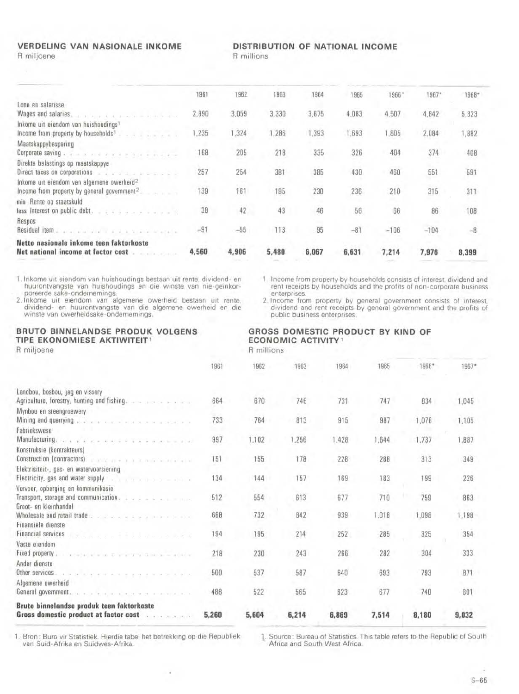#### **VERDELING VAN NASIONALE INKOME** R miljoene

#### DISTRIBUTION OF NATIONAL INCOME

R millions

|                                                                      | 1961  | 1962  | 1963  | 1964  | 1965  | 1966*  | $1967*$ | 1968* |  |
|----------------------------------------------------------------------|-------|-------|-------|-------|-------|--------|---------|-------|--|
| Lone en salarisse                                                    |       |       |       |       |       |        |         |       |  |
|                                                                      | 2,890 | 3,059 | 3,330 | 3,675 | 4,083 | 4,507  | 4.842   | 5,323 |  |
| Inkome uit eiendom van huishoudings1                                 |       |       |       |       |       |        |         |       |  |
| Income from property by households <sup>1</sup>                      | 1,235 | 1,324 | 1,286 | 1,393 | .693  | ,805   | 2.084   | 1,882 |  |
| Maatskappybesparing                                                  |       |       |       |       |       |        |         |       |  |
| Corporate saving with a series of the series of the contractor       | 168   | 205   | 218   | 335   | 326   | 404    | 374     | 408   |  |
| Direkte belastings op maatskappye                                    |       |       |       |       |       |        |         |       |  |
| Direct taxes on corporations is a communication of the communication | 257   | 254   | 381   | 385   | 430   | 460    | 551     | 591   |  |
| Inkome uit eiendom van algemene owerheid <sup>2</sup>                |       |       |       |       |       |        |         |       |  |
| Income from property by general government $2$                       | 139   | 161   | 195   | 230   | 236   | 210    | 315     | 311   |  |
| min Rente op staatskuld                                              |       |       |       |       |       |        |         |       |  |
| less Interest on public debt.                                        | 38    | 42    | 43    | 46    | 56    | 66     | 86      | 108   |  |
| Respos                                                               |       |       |       |       |       |        |         |       |  |
| Residual item , a company of the property of the second to           | $-91$ | $-55$ | 113   | 95    | $-81$ | $-106$ | $-104$  |       |  |
| Netto nasionale inkome teen faktorkoste                              |       |       |       |       |       |        |         |       |  |
| Net national income at factor cost                                   | 4,560 | 4,906 | 5,480 | 6,067 | 6,631 | 7,214  | 7,976   | 8,399 |  |
|                                                                      |       |       |       |       |       |        |         |       |  |

1. Inkome uit eiendom van huishoudings bestaan uit rente, dividend- en huurontvangste van huishoudings en die winste van nie-geïnkorproceerde sake-ondernemings.<br>2. Inkome uit eiendom van algemene owerheid bestaan uit rente

GROSS DOMESTIC PRODUCT BY KIND OF

1 Income from property by households consists of interest, dividend and<br>rent receipts by households and the profits of non-corporate business enterprises.

2. Income from property by general government consists of interest, dividend and rent receipts by general government and the profits of public business enterprises.

#### BRUTO BINNELANDSE PRODUK VOLGENS TIPE EKONOMIESE AKTIWITEIT<sup>1</sup> R miljoene

**ECONOMIC ACTIVITY** R millions

|                                                                                                                                                                                                                               | 1961  | 1962  | 1963  | 1964  | 1965  | 1966* | $1967*$    |
|-------------------------------------------------------------------------------------------------------------------------------------------------------------------------------------------------------------------------------|-------|-------|-------|-------|-------|-------|------------|
| Landbou, bosbou, jag en vissery<br>Agriculture, forestry, hunting and fishing.                                                                                                                                                | 664   | 670   | 746   | 731   | 747   | 834   | 1,045      |
| Mynbou en steengroewery                                                                                                                                                                                                       |       |       |       |       |       |       |            |
| Mining and quarrying and a company of the service of the service of the service of the service of the service of the                                                                                                          | 733   | 764   | 813   | 915   | 987   | 1,078 | 1,105      |
| Fabriekswese                                                                                                                                                                                                                  |       |       |       |       |       |       |            |
| Manufacturing, and a discussion of the second contract of a                                                                                                                                                                   | 997   | 1,102 | 1,256 | 1,428 | 1,644 | 1,737 | 1,887      |
| Konstruksie (kontrakteurs)                                                                                                                                                                                                    |       |       |       |       |       |       |            |
| Construction (contractors) and a property of the second contractors)                                                                                                                                                          | 151   | 155   | 178   | 228   | 288   | 313   | 349        |
| Elektrisiteit-, gas- en watervoorsiening                                                                                                                                                                                      |       |       |       |       |       |       |            |
| Electricity, gas and water supply and a series of the series of the series of                                                                                                                                                 | 134   | 144   | 157   | 169   | 183   | 199   | 226        |
| Vervoer, opberging en kommunikasie                                                                                                                                                                                            |       |       |       |       |       |       |            |
| Transport, storage and communication.                                                                                                                                                                                         | 512   | 554   | 613   | 677   | 710   | 759   | <b>B63</b> |
| Groot- en kleinhandel                                                                                                                                                                                                         |       |       |       |       |       |       |            |
| Wholesale and retail trade                                                                                                                                                                                                    | 668   | 732   | 842   | 939   | 1.018 | 1,098 | 1,198      |
| Finansiële dienste                                                                                                                                                                                                            |       |       |       |       |       |       |            |
| Financial services<br>1972 - - - - - - - - 1 - - - - - - - - -                                                                                                                                                                | 194   | 195   | 214   | 252   | 285   | 325   | 354        |
| Vaste eiendom                                                                                                                                                                                                                 |       |       |       |       |       |       |            |
| Fixed property.<br>Substitution on Discovery of Gilbertain a data                                                                                                                                                             | 218   | 230   | 243   | 266   | 282   | 304   | 333        |
| Ander dienste                                                                                                                                                                                                                 |       |       |       |       |       |       |            |
| Other services. It is a communication of a state of the state                                                                                                                                                                 | 500   | 537   | 587   | 640   | 693   | 793   | 871        |
| Algemene owerheid                                                                                                                                                                                                             |       |       |       |       |       |       |            |
| General government, with a strategic contract of the state of the state of the state of the state of the state of the state of the state of the state of the state of the state of the state of the state of the state of the | 488   | 522   | 565   | 623   | 677   | 740   | 801        |
| Bruto binnelandse produk teen faktorkoste                                                                                                                                                                                     |       |       |       |       |       |       |            |
| Gross domestic product at factor cost<br>and the company of the company                                                                                                                                                       | 5,260 | 5,604 | 6,214 | 6,869 | 7,514 | 8,180 | 9,032      |
|                                                                                                                                                                                                                               |       |       |       |       |       |       |            |

1. Bron: Buro vir Statistiek. Hierdie tabel het betrekking op die Republiek van Suid-Afrika en Suidwes-Afrika.

1. Source: Bureau of Statistics. This table refers to the Republic of South Africa and South West Africa.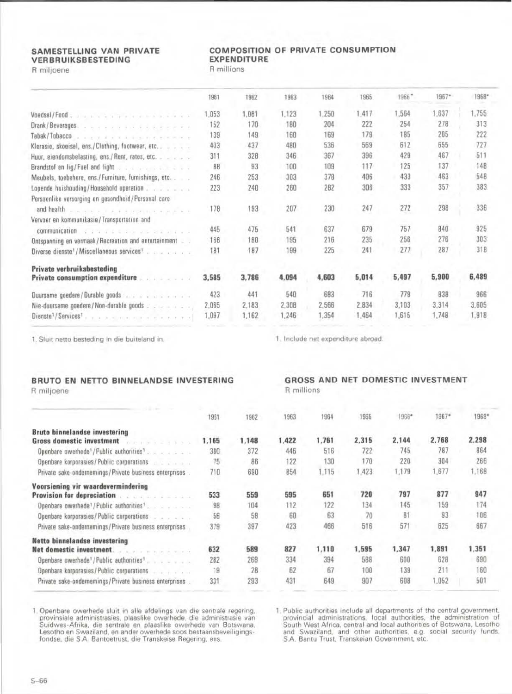#### **SAMESTELLING VAN PRIVATE** VERBRUIKSBESTEDING R miljoene

### **COMPOSITION OF PRIVATE CONSUMPTION EXPENDITURE**

R millions

|                                                                                                                  | 1961      | 1962  | 1963  | 1964  | 1965  | 1966  | 1967* | 1968* |
|------------------------------------------------------------------------------------------------------------------|-----------|-------|-------|-------|-------|-------|-------|-------|
|                                                                                                                  | 1.053     | 1,081 | 1,123 | 1,250 | 1,417 | 1.564 | 1.637 | 1,755 |
| Drank/Beverages.                                                                                                 | 152       | 170   | 180   | 204   | 222   | 254   | 278   | 313   |
| Tabak/Tobacco                                                                                                    | 139       | 149   | 160   | 169   | 179   | 185   | 205   | 222   |
| Klerasie, skoeisel, ens./Clothing, footwear, etc                                                                 | 403       | 437   | 480   | 536   | 569   | 612   | 655   | 727   |
| Huur, eiendomsbelasting, ens./Rent, rates, etc.                                                                  | 311       | 328   | 346   | 367   | 396   | 429   | 467   | 511   |
| Brandstof an lig/Fuel and light                                                                                  | <b>BB</b> | 93    | 100   | 109   | 117   | 125   | 137   | 148   |
| Meubels, toebehore, ens./Furniture, furnishings, etc                                                             | 246       | 253   | 303   | 378   | 406   | 433   | 463   | 548   |
| Lopende huishouding/Household operation                                                                          | 223       | 240   | 260   | 282   | 306   | 333   | 357   | 383   |
| Persoonlike versorging en gesondheid/Personal care<br>and health a communication of the communication of the co- | 178       | 193   | 207   | 230   | 247   | 272   | 298   | 336   |
| Vervoer en kommunikasie/Transportation and                                                                       |           |       |       |       |       |       |       |       |
| communication<br>We will allow you and any your                                                                  | 445       | 475   | 541   | 637   | 679   | 757   | 840   | 925   |
| Ontspanning en vermaak/Recreation and entertainment                                                              | 166       | 180   | 195   | 216   | 235   | 256   | 276   | 303   |
| Diverse dienste <sup>1</sup> /Miscellaneous services <sup>1</sup>                                                | 181       | 187   | 199   | 225   | 241   | 277   | 287   | 31B   |
| Private verbruiksbesteding                                                                                       |           |       |       |       |       |       |       |       |
| <b>Private consumption expenditure <i>consumption expenditure</i></b>                                            | 3,585     | 3,786 | 4.094 | 4,603 | 5,014 | 5,497 | 5,900 | 6,489 |
| Duursame goedere/Durable goods                                                                                   | 423       | 441   | 540   | 683   | 716   | 779   | 838   | 966   |
| Nie-duursame goedere/Non-durable goods                                                                           | 2,065     | 2,183 | 2,308 | 2,566 | 2,834 | 3.103 | 3,314 | 3.605 |
| Dienste <sup>1</sup> /Services <sup>1</sup> , , , , , , , , , , , , , , , , , ,                                  | 1,097     | 1,162 | 1,246 | 1,354 | 1,464 | 1,615 | 1,748 | 1,918 |

1. Sluit netto besteding in die buiteland in.

# BRUTO EN NETTO BINNELANDSE INVESTERING

R miljoene

|  |  | and the state of the state of the state of the state of the state of the state of the state of the state of the                                                                                                                      |  |  |
|--|--|--------------------------------------------------------------------------------------------------------------------------------------------------------------------------------------------------------------------------------------|--|--|
|  |  |                                                                                                                                                                                                                                      |  |  |
|  |  |                                                                                                                                                                                                                                      |  |  |
|  |  | <u>and the second contract of the second contract of the second contract of the second contract of the second contract of the second contract of the second contract of the second contract of the second contract of the second</u> |  |  |

1. Include net expenditure abroad.

|            |  | GROSS AND NET DOMESTIC INVESTMENT |
|------------|--|-----------------------------------|
| R millions |  |                                   |

|                                                                                                          | 1961  | 1962  | 1963  | 1964  | 1965  | 1966* | 1967* | 1968* |
|----------------------------------------------------------------------------------------------------------|-------|-------|-------|-------|-------|-------|-------|-------|
| Bruto binnelandse investering                                                                            |       |       |       |       |       |       |       |       |
| <b>Gross domestic investment</b><br>mental and distant                                                   | 1,165 | 1,148 | 1,422 | 1,761 | 2,315 | 2,144 | 2,768 | 2,298 |
| Openbare owerhede <sup>1</sup> /Public authorities <sup>1</sup> .                                        | 380   | 372   | 446   | 516   | 722   | 745   | 787   | 864   |
| Openbare korporasies/Public corporations                                                                 | 75    | 86    | 122   | 130   | 170   | 220   | 304   | 266   |
| Private sake-ondernemings / Private business enterprises .                                               | 710   | 690   | 854   | 1.115 | 1,423 | 1.179 | 1.677 | 1.168 |
| Voorsiening vir waardevermindering                                                                       |       |       |       |       |       |       |       |       |
| <b>Provision for depreciation</b>                                                                        | 533   | 559   | 595   | 651   | 720   | 797   | 877   | 947   |
| Openbare owerhede <sup>1</sup> /Public authorities <sup>1</sup>                                          | 98    | 104   | 112   | 122   | 134   | 145   | 159   | 174   |
| Openbare korporasies/Public corporations                                                                 | 56    | 58    | 60    | 63    | 70    | 81    | 93    | 106   |
| Private sake-ondernemings/Private business enterprises                                                   | 379   | 397   | 423   | 466   | 516   | 571   | 625   | 667   |
| Netto binnelandse investering                                                                            |       |       |       |       |       |       |       |       |
| Net domestic investment.<br>$\mathcal{A}$ , $\mathcal{C}$ , $\mathcal{A}$ ), as we write the contract of | 632   | 589   | 827   | 1,110 | 1,595 | 1,347 | 1,891 | 1,351 |
| Openbare owerhede <sup>1</sup> /Public authorities <sup>1</sup>                                          | 282   | 268   | 334   | 394   | 588   | 600   | 628   | 690   |
| Openbare korporasies/Public corporations                                                                 | 19    | 28    | 62    | 67    | 100   | 139   | 211   | 160   |
| Private sake-ondernemings/Private business enterprises                                                   | 331   | 293   | 431   | 649   | 907   | 608   | .052  | 501   |

1. Openbare owerhede sluit in alle afdelings van die sentrale regering, provinsiale administrasies, plaaslike owerhede, die administrasie van Suidwes-Afrika, die sentrale en plaaslike owerhede van Botswana, Lesotho en Swaz

1. Public authorities include all departments of the central government, provincial administrations, local authorities, the administration of South West Africa, central and local authorities of Botswana, Lesotho and Swazil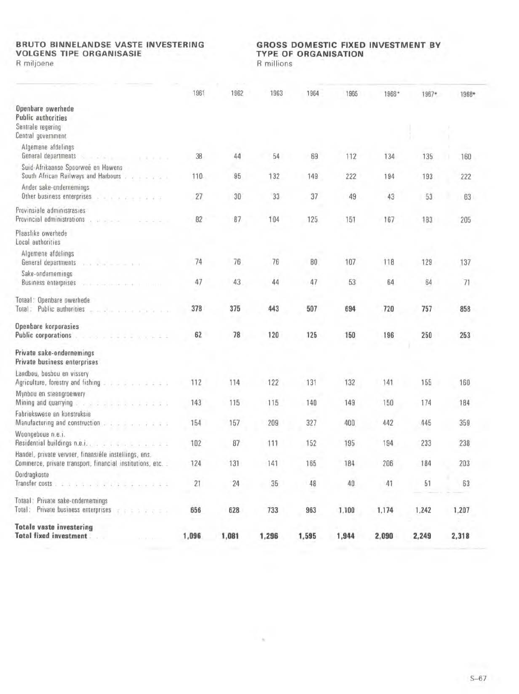# **BRUTO BINNELANDSE VASTE INVESTERING<br>VOLGENS TIPE ORGANISASIE**

R miljoene

# GROSS DOMESTIC FIXED INVESTMENT BY **TYPE OF ORGANISATION**

R millions

|                                                                                                                                                                                                                                                                                                                                                                                                                                                                                                                                    | 1961  | 1962  | 1963  | 1964  | 1965  | 1966* | 1967* | 1968* |  |
|------------------------------------------------------------------------------------------------------------------------------------------------------------------------------------------------------------------------------------------------------------------------------------------------------------------------------------------------------------------------------------------------------------------------------------------------------------------------------------------------------------------------------------|-------|-------|-------|-------|-------|-------|-------|-------|--|
| Openbare owerhede<br><b>Public authorities</b><br>Sentrale regering<br>Central government                                                                                                                                                                                                                                                                                                                                                                                                                                          |       |       |       |       |       |       |       |       |  |
| Algemene afdelings<br>General departments                                                                                                                                                                                                                                                                                                                                                                                                                                                                                          | 38    | 44    | 54    | 69    | 112   | 134   | 135   | 160   |  |
| Suid-Afrikaanse Spoorweë en Hawens<br>South African Railways and Harbours                                                                                                                                                                                                                                                                                                                                                                                                                                                          | 110   | 95    | 132   | 149   | 222   | 194   | 193   | 222   |  |
| Ander sake-ondernemings<br>Other business enterprises                                                                                                                                                                                                                                                                                                                                                                                                                                                                              | 27    | 30    | 33    | 37    | 49    | 43    | 53    | 63    |  |
| Provinsiale administrasies<br>Provincial administrations<br>a value of the<br>2222                                                                                                                                                                                                                                                                                                                                                                                                                                                 | 82    | 87    | 104   | 125   | 151   | 167   | 183   | 205   |  |
| Plaaslike owerhede<br>Local authorities                                                                                                                                                                                                                                                                                                                                                                                                                                                                                            |       |       |       |       |       |       |       |       |  |
| Algemene afdelings<br>General departments<br>and the state of the state                                                                                                                                                                                                                                                                                                                                                                                                                                                            | 74    | 76    | 76    | 80    | 107   | 118   | 129   | 137   |  |
| Sake-ondernemings<br><b>Business enterprises</b>                                                                                                                                                                                                                                                                                                                                                                                                                                                                                   | 47    | 43    | 44    | 47    | 53    | 64    | 64    | 71    |  |
| Totaal: Openbare owerhede<br>Total: Public authorities<br>environmental al                                                                                                                                                                                                                                                                                                                                                                                                                                                         | 378   | 375   | 443   | 507   | 694   | 720   | 757   | 858   |  |
| Openbare korporasies<br><b>Public corporations</b><br><b>Controller of the Control</b>                                                                                                                                                                                                                                                                                                                                                                                                                                             | 62    | 78    | 120   | 125   | 150   | 196   | 250   | 253   |  |
| Private sake-ondernemings<br>Private business enterprises                                                                                                                                                                                                                                                                                                                                                                                                                                                                          |       |       |       |       |       |       |       |       |  |
| Landbou, bosbou en vissery<br>Agriculture, forestry and fishing the second contact that is a                                                                                                                                                                                                                                                                                                                                                                                                                                       | 112   | 114   | 122   | 131   | 132   | 141   | 155   | 160   |  |
| Mynbou en steengroewery<br>Mining and quarrying<br>$\label{eq:3.1} \mathcal{A}^{\prime} = \left\{ \begin{array}{ll} \mathcal{A}^{\prime} & \mathcal{A}^{\prime} & \mathcal{A}^{\prime} & \mathcal{A}^{\prime} & \mathcal{A}^{\prime} & \mathcal{A}^{\prime} & \mathcal{A}^{\prime} & \mathcal{A}^{\prime} & \mathcal{A}^{\prime} & \mathcal{A}^{\prime} & \mathcal{A}^{\prime} & \mathcal{A}^{\prime} \\ \mathcal{A}^{\prime} & \mathcal{A}^{\prime} & \mathcal{A}^{\prime} & \mathcal{A}^{\prime} & \mathcal{A}^{\prime} & \math$ | 143   | 115   | 115   | 140   | 149   | 150   | 174   | 184   |  |
| Fabriekswese en konstruksie<br>Manufacturing and construction and a series of the series of                                                                                                                                                                                                                                                                                                                                                                                                                                        | 154   | 157   | 209   | 327   | 400   | 442   | 445   | 359   |  |
| Woongeboue n.e.i.<br>Residential buildings n.e.i.,                                                                                                                                                                                                                                                                                                                                                                                                                                                                                 | 102   | 87    | 111   | 152   | 195   | 194   | 233   | 238   |  |
| Handel, private vervoer, finansiële instellings, ens.<br>Commerce, private transport, financial institutions, etc.                                                                                                                                                                                                                                                                                                                                                                                                                 | 124   | 131   | 141   | 165   | 184   | 206   | 184   | 203   |  |
| Dordragkoste<br>Transfer costs                                                                                                                                                                                                                                                                                                                                                                                                                                                                                                     | 21    | 24    | 35    | 48    | 40    | 41    | 51    | 63    |  |
| Totaal: Private sake-ondernemings<br>Total: Private business enterprises<br><b>TELLICIA</b>                                                                                                                                                                                                                                                                                                                                                                                                                                        | 656   | 628   | 733   | 963   | 1,100 | 1,174 | 1,242 | 1,207 |  |
| <b>Totale vaste investering</b><br><b>Total fixed investment</b><br>$4 - 4 - 4 -$                                                                                                                                                                                                                                                                                                                                                                                                                                                  | 1,096 | 1,081 | 1,296 | 1,595 | 1,944 | 2,090 | 2,249 | 2,318 |  |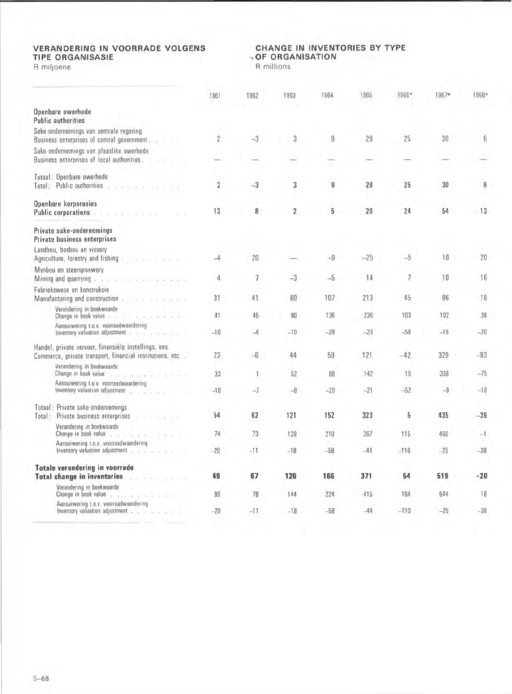# **VERANDERING IN VOORRADE VOLGENS<br>TIPE ORGANISASIE**

R miljoene

# CHANGE IN INVENTORIES BY TYPE - OF ORGANISATION

R millions

|        |                                                                                                                                                                                                                                                             | 1961                     | 1962                     | 1963           | 1964  | 1965  | 1966*  | 1967* | 1968* |
|--------|-------------------------------------------------------------------------------------------------------------------------------------------------------------------------------------------------------------------------------------------------------------|--------------------------|--------------------------|----------------|-------|-------|--------|-------|-------|
|        | Openbare owerhede<br><b>Public authorities</b>                                                                                                                                                                                                              |                          |                          |                |       |       |        |       |       |
|        | Sake-ondernemings van sentrale regering<br>Business enterprises of central government                                                                                                                                                                       | $\overline{2}$           | $-3$                     | 3              | 9     | 28    | 25     | 30    | 6     |
|        | Sake-ondernemings van plaaslike owerhede<br>Business enterprises of local authorities                                                                                                                                                                       |                          |                          |                |       |       |        |       |       |
|        | Totaal: Openbare owerhede<br>Total: Public authorities                                                                                                                                                                                                      | $\overline{2}$           | $-3$                     | 3              | 9     | 28    | 25     | 30    | 6     |
|        | Openbare korporasies<br>Public corporations.<br>.                                                                                                                                                                                                           | 13                       | 8                        | $\overline{2}$ | 5     | 20    | 24     | 54    | 13    |
|        | Private sake-ondernemings<br>Private business enterprises                                                                                                                                                                                                   |                          |                          |                |       |       |        |       |       |
|        | Landbou, bosbou en vissery<br>Agriculture, forestry and fishing and a series and a series of                                                                                                                                                                | $\overline{\mathcal{A}}$ | 20                       |                | $-9$  | $-25$ | $-5$   | 10    | 20    |
|        | Mynbou en steengroewery<br>Mining and quarrying                                                                                                                                                                                                             | 4                        | 7                        | $-3$           | $-5$  | 14    | 7      | 10    | 16    |
|        | Fabriekswese en konstruksie<br>Manufacturing and construction                                                                                                                                                                                               | 31                       | 41                       | 80             | 107   | 213   | 45     | 86    | 18    |
|        | Verandering in boekwaarde<br>Change in book value of the service and a service of the service of the service of the service of the service of the service of the service of the service of the service of the service of the service of the service of the  | 41                       | 45                       | 90             | 136   | 236   | 103    | 102   | 38    |
|        | Aansuiwering Lo.v. voorraadwaardering<br>Inventory valuation adjustment to a state of the state of                                                                                                                                                          | $-10$                    | $\overline{\mathcal{A}}$ | $-10$          | $-29$ | $-23$ | $-58$  | $-16$ | $-20$ |
|        | Handel, private vervoer, finansièle instellings, ens.<br>Commerce, private transport, financial institutions, etc.                                                                                                                                          | 23                       | $-6$                     | 44             | 59    | 121   | $-42$  | 329   | $-93$ |
|        | Verandering in boekwaarde<br>Change in book value and a substance of the contract of the contract of the contract of the contract of the contract of the contract of the contract of the contract of the contract of the contract of the contract of the co | 33                       | -1                       | 52             | 88    | 142   | 10     | 338   | $-75$ |
|        | Aansuiwering t.o.v. voorraadwaardering<br>Inventory valuation adjustment and a state of the                                                                                                                                                                 | $-10$                    | $-7$                     | $-8$           | $-29$ | $-21$ | $-52$  | $-9$  | $-18$ |
| Total: | Totaal: Private sake-ondernemings<br>Private business enterprises<br>.                                                                                                                                                                                      | 54                       | 62                       | 121            | 152   | 323   | 5      | 435   | $-39$ |
|        | Verandering in boekwaarde<br>Change in book value<br>$x + 1 + 2 + 3 + 1 + 2 + 1 + 1$                                                                                                                                                                        | 74                       | 73                       | 139            | 210   | 367   | 115    | 460   | $-1$  |
|        | Aansuiwering t.o.v. voorraadwaardering<br>Inventory valuation adjustment                                                                                                                                                                                    | $-20$                    | $-11$                    | $-18$          | $-58$ | $-44$ | $-110$ | $-25$ | $-38$ |
|        | <b>Totale verandering in voorrade</b><br><b>Total change in inventories</b><br>.                                                                                                                                                                            | 69                       | 67                       | 126            | 166   | 371   | 54     | 519   | $-20$ |
|        | Verandering in boekwaarde<br>Change in book value<br>. 1 1                                                                                                                                                                                                  | 89                       | 78                       | 144            | 224   | 415   | 164    | 544   | 18    |
|        | Aansuiwering t.o.v. voorraadwaardering<br>Inventory valuation adjustment to the state of the                                                                                                                                                                | $-20$                    | $-11$                    | $-18$          | $-58$ | $-44$ | $-110$ | $-25$ | $-38$ |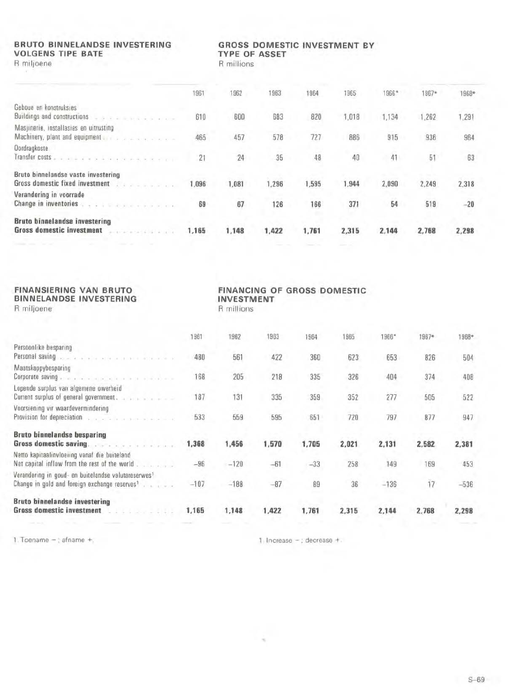# **BRUTO BINNELANDSE INVESTERING VOLGENS TIPE BATE**

R miljoene

### **GROSS DOMESTIC INVESTMENT BY** TYPE OF ASSET

R millions

|                                                                                                            | 1961  | 1962  | 1963  | 1964  | 1965  | 1966* | 1967* | 1968* |
|------------------------------------------------------------------------------------------------------------|-------|-------|-------|-------|-------|-------|-------|-------|
| Geboue en konstruksies<br>Buildings and constructions<br>all the first structure and a re-                 | 610   | 600   | 683   | 820   | 1,018 | 1,134 | 1,262 | 1,291 |
| Masjinerie, installasies en uitrusting<br>Machinery, plant and equipment and a series of the series of the | 465   | 457   | 578   | 727   | 886   | 915   | 936   | 964   |
| <b>Oordragkoste</b><br>Transfer costs                                                                      | 21    | 24    | 35    | 48    | 40    | 41    | 51    | 63    |
| Bruto binnelandse vaste investering<br>Gross domestic fixed investment                                     | 1.096 | 1,081 | 1,296 | 1,595 | 1,944 | 2,090 | 2,249 | 2,318 |
| Verandering in voorrade<br>Change in inventories                                                           | 69    | 67    | 126   | 166   | 371   | 54    | 519   | $-20$ |
| <b>Bruto binnelandse investering</b><br><b>Gross domestic investment</b>                                   | 1,165 | 1.148 | 1,422 | 1,761 | 2,315 | 2,144 | 2,768 | 2,298 |

| FINANSIERING VAN BRUTO<br><b>BINNELANDSE INVESTERING</b><br>R miljoene                                                                                                                                                         |        | <b>INVESTMENT</b><br>R millions |       | FINANCING OF GROSS DOMESTIC |       |        |       |        |
|--------------------------------------------------------------------------------------------------------------------------------------------------------------------------------------------------------------------------------|--------|---------------------------------|-------|-----------------------------|-------|--------|-------|--------|
|                                                                                                                                                                                                                                | 1961   | 1962                            | 1963  | 1964                        | 1965  | 1966*  | 1967* | 1968*  |
| Persoonlike besparing                                                                                                                                                                                                          |        |                                 |       |                             |       |        |       |        |
| Personal saving appropriate and a service contract of the service of the service of the service of the service of the service of the service of the service of the service of the service of the service of the service of the | 480    | 561                             | 422   | 360                         | 623   | 653    | 826   | 504    |
| Maatskappybesparing                                                                                                                                                                                                            |        |                                 |       |                             |       |        |       |        |
| Corporate saving                                                                                                                                                                                                               | 168    | 205                             | 218   | 335                         | 326   | 404    | 374   | 408    |
| Lopende surplus van algemene owerheid<br>Current surplus of general government.                                                                                                                                                | 187    | 131                             | 335   | 359                         | 352   | 277    | 505   | 522    |
| Voorsiening vir waardevermindering                                                                                                                                                                                             |        |                                 |       |                             |       |        |       |        |
| Provision for depreciation with a substitution of the substitution of the second state of the second state of                                                                                                                  | 533    | 559                             | 595   | 651                         | 720   | 797    | 877   | 947    |
| <b>Bruto binnelandse besparing</b>                                                                                                                                                                                             |        |                                 |       |                             |       |        |       |        |
| Gross domestic saving.                                                                                                                                                                                                         | 1,368  | 1,456                           | 1,570 | 1,705                       | 2,021 | 2,131  | 2,582 | 2,381  |
| Netto kapitaalinvloeiing vanaf die buiteland<br>Net capital inflow from the rest of the world                                                                                                                                  | $-96$  | $-120$                          | $-61$ | $-33$                       | 258   | 149    | 169   | 453    |
| Verandering in goud- en buitelandse valutareserwes <sup>1</sup>                                                                                                                                                                |        |                                 |       |                             |       |        |       |        |
| Change in gold and foreign exchange reserves <sup>1</sup>                                                                                                                                                                      | $-107$ | $-188$                          | $-87$ | 89                          | 36    | $-136$ | 17    | $-536$ |
| <b>Bruto binnelandse investering</b>                                                                                                                                                                                           |        |                                 |       |                             |       |        |       |        |
| Gross domestic investment<br>.                                                                                                                                                                                                 | 1,165  | 1,148                           | 1,422 | 1,761                       | 2,315 | 2,144  | 2,768 | 2,298  |
|                                                                                                                                                                                                                                |        |                                 |       |                             |       |        |       |        |

1. Toename  $-$  ; afname  $+$ ,

 $1$ , Increase  $-$ ; decrease  $+$ .